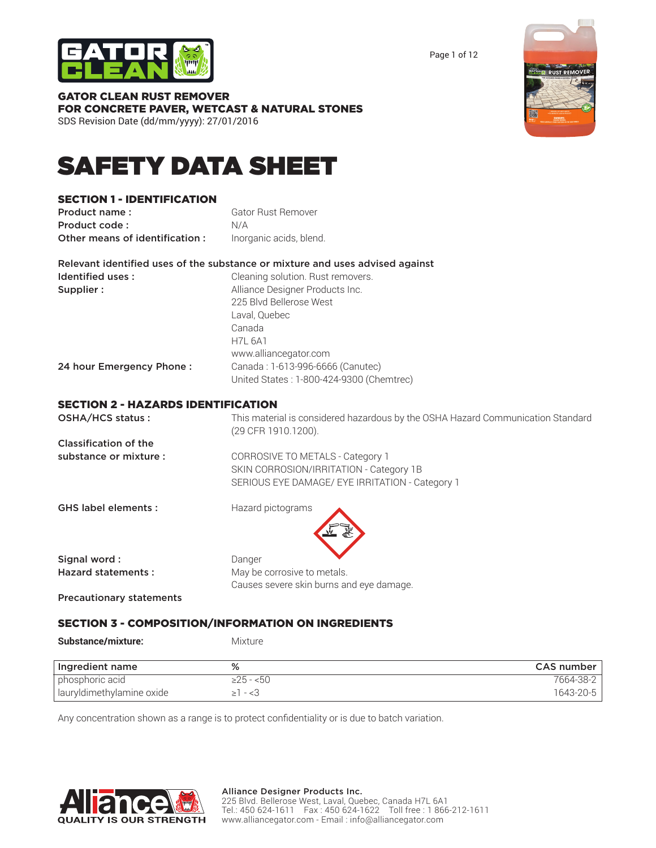

Page 1 of 12



GATOR CLEAN RUST REMOVER FOR CONCRETE PAVER, WETCAST & NATURAL STONES SDS Revision Date (dd/mm/yyyy): 27/01/2016

# SAFETY DATA SHEET

# SECTION 1 - IDENTIFICATION

| Product name:                  | <b>Gator Rust Remover</b> |
|--------------------------------|---------------------------|
| Product code:                  | N/A                       |
| Other means of identification: | Inorganic acids, blend.   |

|                   | Relevant identified uses of the substance or mixture and uses advised against |
|-------------------|-------------------------------------------------------------------------------|
| Identified uses : | Cleaning solution. Rust removers.                                             |
| Supplier :        | Alliance Designer Products Inc.                                               |
|                   | 225 Blvd Bellerose West                                                       |
|                   | Laval, Quebec                                                                 |
|                   | Canada                                                                        |
|                   | H71 6A1                                                                       |

24 hour Emergency Phone : Canada : 1-613-996-6666 (Canutec)

| United States: 1-800-424-9300 (Chemtrec) |  |
|------------------------------------------|--|
|                                          |  |

www.alliancegator.com

### SECTION 2 - HAZARDS IDENTIFICATION

| OSHA/HCS status:                | This material is considered hazardous by the OSHA Hazard Communication Standard<br>(29 CFR 1910.1200). |
|---------------------------------|--------------------------------------------------------------------------------------------------------|
| Classification of the           |                                                                                                        |
| substance or mixture :          | CORROSIVE TO METALS - Category 1                                                                       |
|                                 | SKIN CORROSION/IRRITATION - Category 1B                                                                |
|                                 | SERIOUS EYE DAMAGE/ EYE IRRITATION - Category 1                                                        |
| <b>GHS label elements:</b>      | Hazard pictograms                                                                                      |
| Signal word:                    | Danger                                                                                                 |
| <b>Hazard statements:</b>       | May be corrosive to metals.                                                                            |
|                                 | Causes severe skin burns and eye damage.                                                               |
| <b>Precautionary statements</b> |                                                                                                        |

### SECTION 3 - COMPOSITION/INFORMATION ON INGREDIENTS

Substance/mixture: Mixture

| Ingredient name           | %         | <b>CAS number</b> |
|---------------------------|-----------|-------------------|
| phosphoric acid           | ≥25 - <50 | 7664-38-2         |
| lauryldimethylamine oxide | - <3      | 1643-20-5         |

Any concentration shown as a range is to protect confidentiality or is due to batch variation.

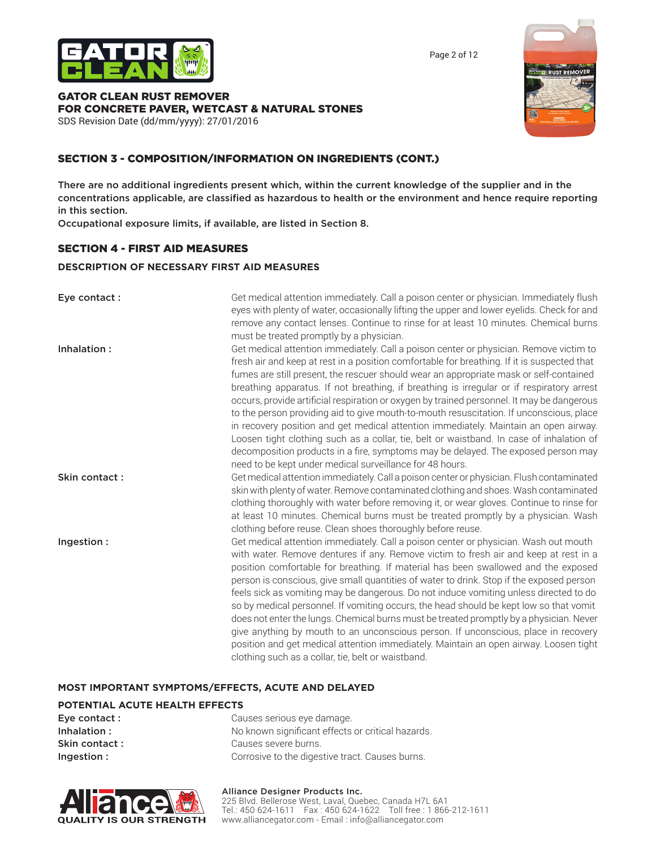

Page 2 of 12

# GATOR CLEAN RUST REMOVER FOR CONCRETE PAVER, WETCAST & NATURAL STONES

SDS Revision Date (dd/mm/yyyy): 27/01/2016



# SECTION 3 - COMPOSITION/INFORMATION ON INGREDIENTS (CONT.)

There are no additional ingredients present which, within the current knowledge of the supplier and in the concentrations applicable, are classified as hazardous to health or the environment and hence require reporting in this section.

Occupational exposure limits, if available, are listed in Section 8.

### SECTION 4 - FIRST AID MEASURES

### **DESCRIPTION OF NECESSARY FIRST AID MEASURES**

| Eye contact:  | Get medical attention immediately. Call a poison center or physician. Immediately flush<br>eyes with plenty of water, occasionally lifting the upper and lower eyelids. Check for and<br>remove any contact lenses. Continue to rinse for at least 10 minutes. Chemical burns<br>must be treated promptly by a physician.                                                                                                                                                                                                                                                                                                                                                                                                                                                                                                                                                                                  |
|---------------|------------------------------------------------------------------------------------------------------------------------------------------------------------------------------------------------------------------------------------------------------------------------------------------------------------------------------------------------------------------------------------------------------------------------------------------------------------------------------------------------------------------------------------------------------------------------------------------------------------------------------------------------------------------------------------------------------------------------------------------------------------------------------------------------------------------------------------------------------------------------------------------------------------|
| Inhalation:   | Get medical attention immediately. Call a poison center or physician. Remove victim to<br>fresh air and keep at rest in a position comfortable for breathing. If it is suspected that<br>fumes are still present, the rescuer should wear an appropriate mask or self-contained<br>breathing apparatus. If not breathing, if breathing is irregular or if respiratory arrest<br>occurs, provide artificial respiration or oxygen by trained personnel. It may be dangerous<br>to the person providing aid to give mouth-to-mouth resuscitation. If unconscious, place<br>in recovery position and get medical attention immediately. Maintain an open airway.<br>Loosen tight clothing such as a collar, tie, belt or waistband. In case of inhalation of<br>decomposition products in a fire, symptoms may be delayed. The exposed person may<br>need to be kept under medical surveillance for 48 hours. |
| Skin contact: | Get medical attention immediately. Call a poison center or physician. Flush contaminated<br>skin with plenty of water. Remove contaminated clothing and shoes. Wash contaminated<br>clothing thoroughly with water before removing it, or wear gloves. Continue to rinse for<br>at least 10 minutes. Chemical burns must be treated promptly by a physician. Wash<br>clothing before reuse. Clean shoes thoroughly before reuse.                                                                                                                                                                                                                                                                                                                                                                                                                                                                           |
| Ingestion:    | Get medical attention immediately. Call a poison center or physician. Wash out mouth<br>with water. Remove dentures if any. Remove victim to fresh air and keep at rest in a<br>position comfortable for breathing. If material has been swallowed and the exposed<br>person is conscious, give small quantities of water to drink. Stop if the exposed person<br>feels sick as vomiting may be dangerous. Do not induce vomiting unless directed to do<br>so by medical personnel. If vomiting occurs, the head should be kept low so that vomit<br>does not enter the lungs. Chemical burns must be treated promptly by a physician. Never<br>give anything by mouth to an unconscious person. If unconscious, place in recovery<br>position and get medical attention immediately. Maintain an open airway. Loosen tight<br>clothing such as a collar, tie, belt or waistband.                          |

### **MOST IMPORTANT SYMPTOMS/EFFECTS, ACUTE AND DELAYED**

### **POTENTIAL ACUTE HEALTH EFFECTS**

| Causes serious eye damage.                        |
|---------------------------------------------------|
| No known significant effects or critical hazards. |
| Causes severe burns.                              |
| Corrosive to the digestive tract. Causes burns.   |
|                                                   |



### Alliance Designer Products Inc.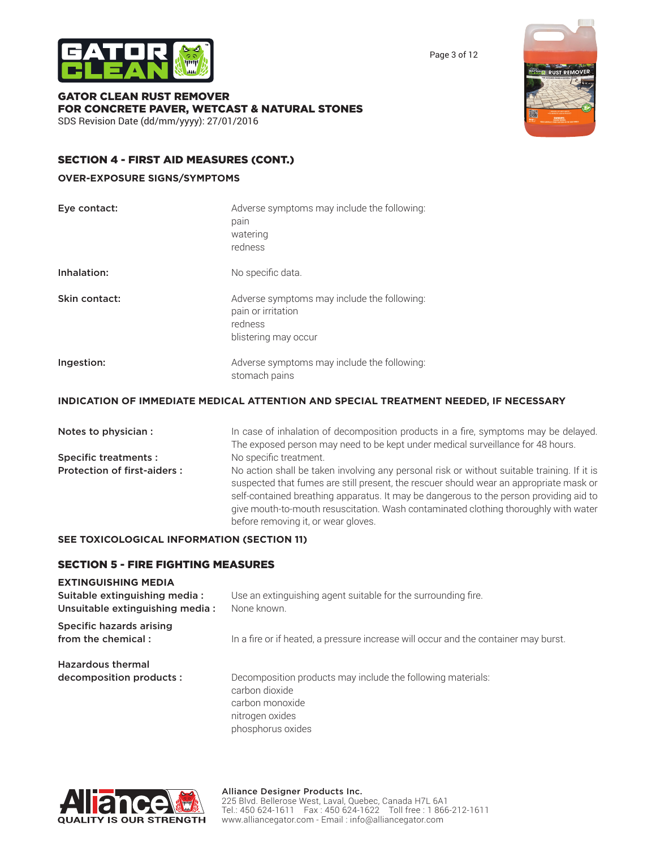

Page 3 of 12



GATOR CLEAN RUST REMOVER FOR CONCRETE PAVER, WETCAST & NATURAL STONES SDS Revision Date (dd/mm/yyyy): 27/01/2016

# SECTION 4 - FIRST AID MEASURES (CONT.)

### **OVER-EXPOSURE SIGNS/SYMPTOMS**

| Eye contact:  | Adverse symptoms may include the following:<br>pain<br>watering<br>redness                           |
|---------------|------------------------------------------------------------------------------------------------------|
| Inhalation:   | No specific data.                                                                                    |
| Skin contact: | Adverse symptoms may include the following:<br>pain or irritation<br>redness<br>blistering may occur |
| Ingestion:    | Adverse symptoms may include the following:<br>stomach pains                                         |

# **INDICATION OF IMMEDIATE MEDICAL ATTENTION AND SPECIAL TREATMENT NEEDED, IF NECESSARY**

Notes to physician : In case of inhalation of decomposition products in a fire, symptoms may be delayed. The exposed person may need to be kept under medical surveillance for 48 hours. Specific treatments : No specific treatment. Protection of first-aiders : No action shall be taken involving any personal risk or without suitable training. If it is suspected that fumes are still present, the rescuer should wear an appropriate mask or self-contained breathing apparatus. It may be dangerous to the person providing aid to give mouth-to-mouth resuscitation. Wash contaminated clothing thoroughly with water before removing it, or wear gloves.

# **SEE TOXICOLOGICAL INFORMATION (SECTION 11)**

# SECTION 5 - FIRE FIGHTING MEASURES

### **EXTINGUISHING MEDIA**

| Suitable extinguishing media:<br>Unsuitable extinguishing media: | Use an extinguishing agent suitable for the surrounding fire.<br>None known.                     |
|------------------------------------------------------------------|--------------------------------------------------------------------------------------------------|
| Specific hazards arising<br>from the chemical:                   | In a fire or if heated, a pressure increase will occur and the container may burst.              |
| <b>Hazardous thermal</b><br>decomposition products :             | Decomposition products may include the following materials:<br>carbon dioxide<br>carbon monoxide |

nitrogen oxides phosphorus oxides

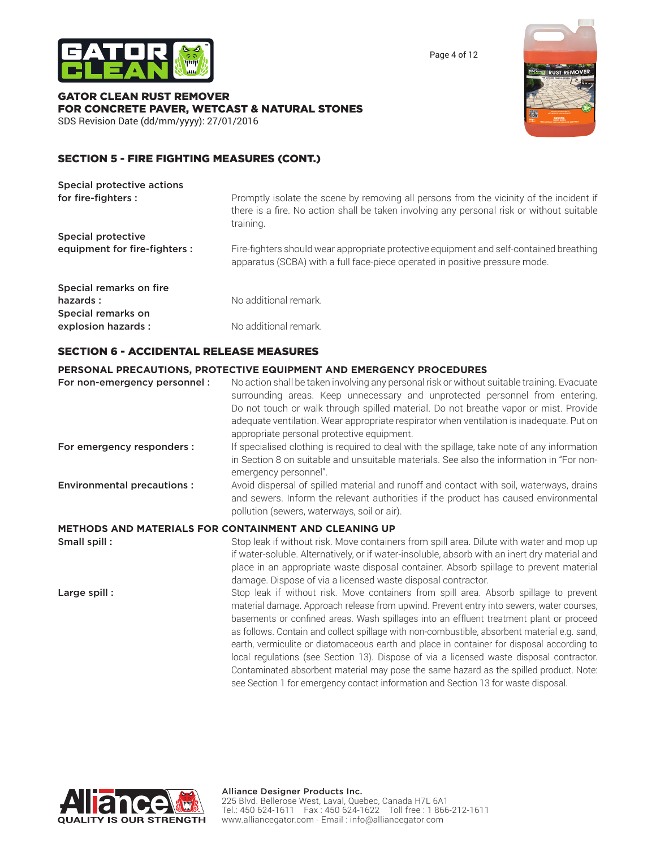

Page 4 of 12

### GATOR CLEAN RUST REMOVER FOR CONCRETE PAVER, WETCAST & NATURAL STONES SDS Revision Date (dd/mm/yyyy): 27/01/2016



# SECTION 5 - FIRE FIGHTING MEASURES (CONT.)

| Special protective actions    |                                                                                                                                                                                                   |
|-------------------------------|---------------------------------------------------------------------------------------------------------------------------------------------------------------------------------------------------|
| for fire-fighters :           | Promptly isolate the scene by removing all persons from the vicinity of the incident if<br>there is a fire. No action shall be taken involving any personal risk or without suitable<br>training. |
| Special protective            |                                                                                                                                                                                                   |
| equipment for fire-fighters : | Fire-fighters should wear appropriate protective equipment and self-contained breathing<br>apparatus (SCBA) with a full face-piece operated in positive pressure mode.                            |
| Special remarks on fire       |                                                                                                                                                                                                   |
| hazards:                      | No additional remark.                                                                                                                                                                             |
| Special remarks on            |                                                                                                                                                                                                   |
| explosion hazards :           | No additional remark.                                                                                                                                                                             |

### SECTION 6 - ACCIDENTAL RELEASE MEASURES

### **PERSONAL PRECAUTIONS, PROTECTIVE EQUIPMENT AND EMERGENCY PROCEDURES**

| For non-emergency personnel :     | No action shall be taken involving any personal risk or without suitable training. Evacuate<br>surrounding areas. Keep unnecessary and unprotected personnel from entering.<br>Do not touch or walk through spilled material. Do not breathe vapor or mist. Provide<br>adequate ventilation. Wear appropriate respirator when ventilation is inadequate. Put on<br>appropriate personal protective equipment.                                                                                                                                                          |
|-----------------------------------|------------------------------------------------------------------------------------------------------------------------------------------------------------------------------------------------------------------------------------------------------------------------------------------------------------------------------------------------------------------------------------------------------------------------------------------------------------------------------------------------------------------------------------------------------------------------|
| For emergency responders :        | If specialised clothing is required to deal with the spillage, take note of any information<br>in Section 8 on suitable and unsuitable materials. See also the information in "For non-<br>emergency personnel".                                                                                                                                                                                                                                                                                                                                                       |
| <b>Environmental precautions:</b> | Avoid dispersal of spilled material and runoff and contact with soil, waterways, drains<br>and sewers. Inform the relevant authorities if the product has caused environmental<br>pollution (sewers, waterways, soil or air).                                                                                                                                                                                                                                                                                                                                          |
|                                   | <b>METHODS AND MATERIALS FOR CONTAINMENT AND CLEANING UP</b>                                                                                                                                                                                                                                                                                                                                                                                                                                                                                                           |
| Small spill:                      | Stop leak if without risk. Move containers from spill area. Dilute with water and mop up<br>if water-soluble. Alternatively, or if water-insoluble, absorb with an inert dry material and<br>place in an appropriate waste disposal container. Absorb spillage to prevent material<br>damage. Dispose of via a licensed waste disposal contractor.                                                                                                                                                                                                                     |
| Large spill:                      | Stop leak if without risk. Move containers from spill area. Absorb spillage to prevent<br>material damage. Approach release from upwind. Prevent entry into sewers, water courses,<br>basements or confined areas. Wash spillages into an effluent treatment plant or proceed<br>as follows. Contain and collect spillage with non-combustible, absorbent material e.g. sand,<br>earth, vermiculite or diatomaceous earth and place in container for disposal according to<br>local regulations (see Section 13). Dispose of via a licensed waste disposal contractor. |



Contaminated absorbent material may pose the same hazard as the spilled product. Note: see Section 1 for emergency contact information and Section 13 for waste disposal.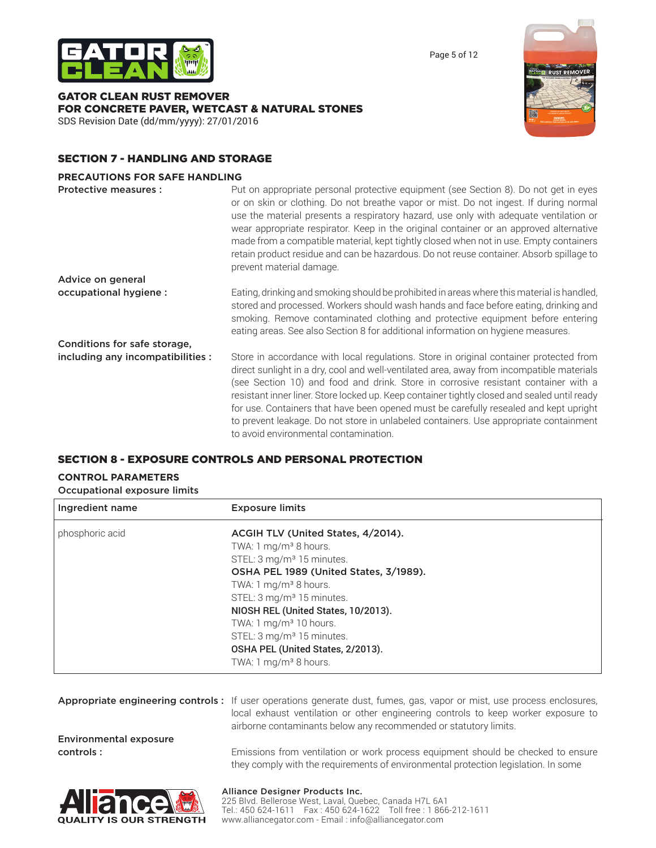

GATOR CLEAN RUST REMOVER FOR CONCRETE PAVER, WETCAST & NATURAL STONES SDS Revision Date (dd/mm/yyyy): 27/01/2016



Page 5 of 12

# SECTION 7 - HANDLING AND STORAGE

### **PRECAUTIONS FOR SAFE HANDLING**

| <b>Protective measures:</b>       | Put on appropriate personal protective equipment (see Section 8). Do not get in eyes<br>or on skin or clothing. Do not breathe vapor or mist. Do not ingest. If during normal<br>use the material presents a respiratory hazard, use only with adequate ventilation or<br>wear appropriate respirator. Keep in the original container or an approved alternative<br>made from a compatible material, kept tightly closed when not in use. Empty containers<br>retain product residue and can be hazardous. Do not reuse container. Absorb spillage to<br>prevent material damage.                    |
|-----------------------------------|------------------------------------------------------------------------------------------------------------------------------------------------------------------------------------------------------------------------------------------------------------------------------------------------------------------------------------------------------------------------------------------------------------------------------------------------------------------------------------------------------------------------------------------------------------------------------------------------------|
| Advice on general                 |                                                                                                                                                                                                                                                                                                                                                                                                                                                                                                                                                                                                      |
| occupational hygiene :            | Eating, drinking and smoking should be prohibited in areas where this material is handled,<br>stored and processed. Workers should wash hands and face before eating, drinking and<br>smoking. Remove contaminated clothing and protective equipment before entering<br>eating areas. See also Section 8 for additional information on hygiene measures.                                                                                                                                                                                                                                             |
| Conditions for safe storage,      |                                                                                                                                                                                                                                                                                                                                                                                                                                                                                                                                                                                                      |
| including any incompatibilities : | Store in accordance with local regulations. Store in original container protected from<br>direct sunlight in a dry, cool and well-ventilated area, away from incompatible materials<br>(see Section 10) and food and drink. Store in corrosive resistant container with a<br>resistant inner liner. Store locked up. Keep container tightly closed and sealed until ready<br>for use. Containers that have been opened must be carefully resealed and kept upright<br>to prevent leakage. Do not store in unlabeled containers. Use appropriate containment<br>to avoid environmental contamination. |

# SECTION 8 - EXPOSURE CONTROLS AND PERSONAL PROTECTION

#### **CONTROL PARAMETERS** Occupational exposure limits

| Occupational exposure illints |                                        |
|-------------------------------|----------------------------------------|
| Ingredient name               | <b>Exposure limits</b>                 |
| phosphoric acid               | ACGIH TLV (United States, 4/2014).     |
|                               | TWA: 1 mg/m <sup>3</sup> 8 hours.      |
|                               | STEL: 3 mg/m <sup>3</sup> 15 minutes.  |
|                               | OSHA PEL 1989 (United States, 3/1989). |
|                               | TWA: 1 mg/m <sup>3</sup> 8 hours.      |
|                               | STEL: 3 mg/m <sup>3</sup> 15 minutes.  |
|                               | NIOSH REL (United States, 10/2013).    |
|                               | TWA: $1 \text{ mg/m}^3$ 10 hours.      |
|                               | STEL: 3 mg/m <sup>3</sup> 15 minutes.  |
|                               | OSHA PEL (United States, 2/2013).      |
|                               | TWA: 1 mg/m <sup>3</sup> 8 hours.      |

|                               | Appropriate engineering controls: If user operations generate dust, fumes, gas, vapor or mist, use process enclosures,<br>local exhaust ventilation or other engineering controls to keep worker exposure to<br>airborne contaminants below any recommended or statutory limits. |
|-------------------------------|----------------------------------------------------------------------------------------------------------------------------------------------------------------------------------------------------------------------------------------------------------------------------------|
| <b>Environmental exposure</b> |                                                                                                                                                                                                                                                                                  |
| controls:                     | Emissions from ventilation or work process equipment should be checked to ensure<br>they comply with the requirements of environmental protection legislation. In some                                                                                                           |



# Alliance Designer Products Inc.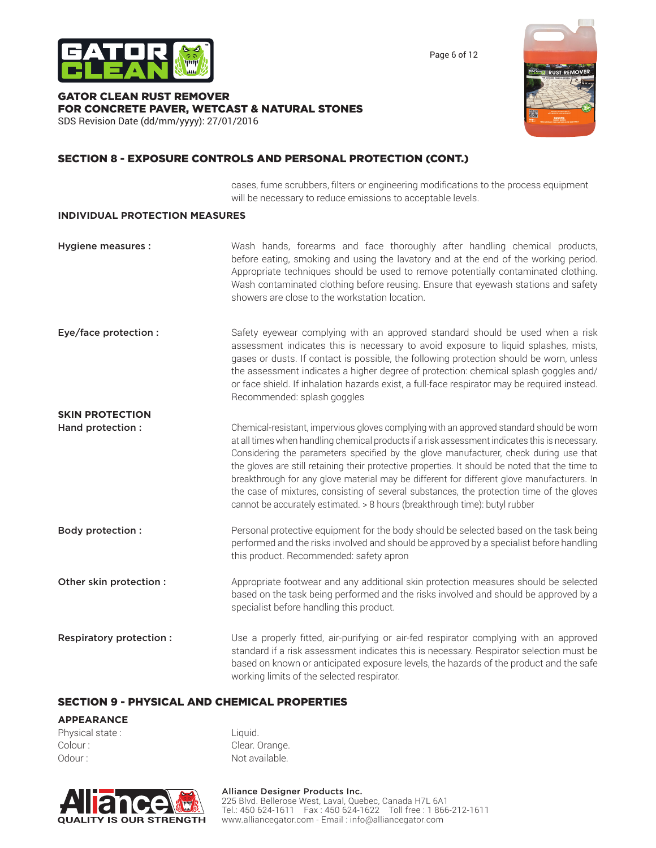

Page 6 of 12

### GATOR CLEAN RUST REMOVER FOR CONCRETE PAVER, WETCAST & NATURAL STONES SDS Revision Date (dd/mm/yyyy): 27/01/2016



# SECTION 8 - EXPOSURE CONTROLS AND PERSONAL PROTECTION (CONT.)

cases, fume scrubbers, filters or engineering modifications to the process equipment will be necessary to reduce emissions to acceptable levels.

### **INDIVIDUAL PROTECTION MEASURES**

| <b>Hygiene measures:</b> | Wash hands, forearms and face thoroughly after handling chemical products,<br>before eating, smoking and using the lavatory and at the end of the working period.<br>Appropriate techniques should be used to remove potentially contaminated clothing.<br>Wash contaminated clothing before reusing. Ensure that eyewash stations and safety<br>showers are close to the workstation location.                                                                                                                                                                                                                                                                  |
|--------------------------|------------------------------------------------------------------------------------------------------------------------------------------------------------------------------------------------------------------------------------------------------------------------------------------------------------------------------------------------------------------------------------------------------------------------------------------------------------------------------------------------------------------------------------------------------------------------------------------------------------------------------------------------------------------|
| Eye/face protection :    | Safety eyewear complying with an approved standard should be used when a risk<br>assessment indicates this is necessary to avoid exposure to liquid splashes, mists,<br>gases or dusts. If contact is possible, the following protection should be worn, unless<br>the assessment indicates a higher degree of protection: chemical splash goggles and/<br>or face shield. If inhalation hazards exist, a full-face respirator may be required instead.<br>Recommended: splash goggles                                                                                                                                                                           |
| <b>SKIN PROTECTION</b>   |                                                                                                                                                                                                                                                                                                                                                                                                                                                                                                                                                                                                                                                                  |
| Hand protection:         | Chemical-resistant, impervious gloves complying with an approved standard should be worn<br>at all times when handling chemical products if a risk assessment indicates this is necessary.<br>Considering the parameters specified by the glove manufacturer, check during use that<br>the gloves are still retaining their protective properties. It should be noted that the time to<br>breakthrough for any glove material may be different for different glove manufacturers. In<br>the case of mixtures, consisting of several substances, the protection time of the gloves<br>cannot be accurately estimated. > 8 hours (breakthrough time): butyl rubber |
| <b>Body protection:</b>  | Personal protective equipment for the body should be selected based on the task being<br>performed and the risks involved and should be approved by a specialist before handling<br>this product. Recommended: safety apron                                                                                                                                                                                                                                                                                                                                                                                                                                      |
| Other skin protection :  | Appropriate footwear and any additional skin protection measures should be selected<br>based on the task being performed and the risks involved and should be approved by a<br>specialist before handling this product.                                                                                                                                                                                                                                                                                                                                                                                                                                          |

**Respiratory protection :** Use a properly fitted, air-purifying or air-fed respirator complying with an approved standard if a risk assessment indicates this is necessary. Respirator selection must be based on known or anticipated exposure levels, the hazards of the product and the safe working limits of the selected respirator.

### SECTION 9 - PHYSICAL AND CHEMICAL PROPERTIES

### **APPEARANCE**

Physical state : Liquid. Colour : Colour : Clear. Orange. Odour : Not available.

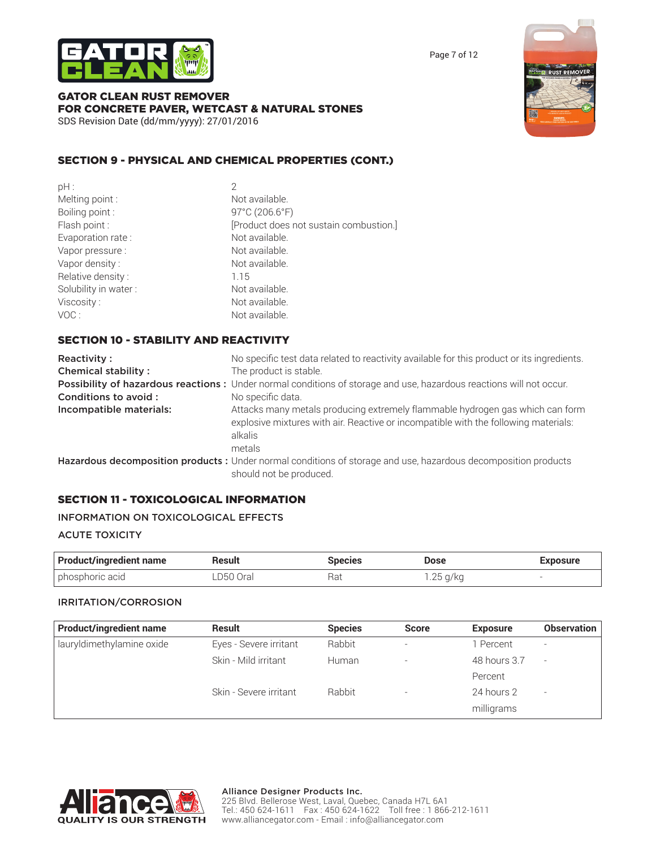

Page 7 of 12



# GATOR CLEAN RUST REMOVER FOR CONCRETE PAVER, WETCAST & NATURAL STONES SDS Revision Date (dd/mm/yyyy): 27/01/2016

# SECTION 9 - PHYSICAL AND CHEMICAL PROPERTIES (CONT.)

| pH:                  |                                        |
|----------------------|----------------------------------------|
| Melting point:       | Not available.                         |
| Boiling point:       | 97°C (206.6°F)                         |
| Flash point:         | [Product does not sustain combustion.] |
| Evaporation rate:    | Not available.                         |
| Vapor pressure :     | Not available.                         |
| Vapor density:       | Not available.                         |
| Relative density:    | 1.15                                   |
| Solubility in water: | Not available.                         |
| Viscosity:           | Not available.                         |
| VOC:                 | Not available.                         |
|                      |                                        |

# SECTION 10 - STABILITY AND REACTIVITY

| Reactivity:<br><b>Chemical stability:</b> | No specific test data related to reactivity available for this product or its ingredients.<br>The product is stable.                                                                      |
|-------------------------------------------|-------------------------------------------------------------------------------------------------------------------------------------------------------------------------------------------|
|                                           | Possibility of hazardous reactions: Under normal conditions of storage and use, hazardous reactions will not occur.                                                                       |
| Conditions to avoid:                      | No specific data.                                                                                                                                                                         |
| Incompatible materials:                   | Attacks many metals producing extremely flammable hydrogen gas which can form<br>explosive mixtures with air. Reactive or incompatible with the following materials:<br>alkalis<br>metals |
|                                           | Hazardous decomposition products : Under normal conditions of storage and use, hazardous decomposition products                                                                           |
|                                           | should not be produced.                                                                                                                                                                   |

# SECTION 11 - TOXICOLOGICAL INFORMATION

### INFORMATION ON TOXICOLOGICAL EFFECTS

### ACUTE TOXICITY

| <b>Product/ingredient name</b> | Result    | <b>Species</b> | Dose       | <b>Exposure</b> |
|--------------------------------|-----------|----------------|------------|-----------------|
| phosphoric acid                | ∟D50 Oral | Rat            | . .25 g/kg | -               |

### IRRITATION/CORROSION

| <b>Product/ingredient name</b> | Result                 | <b>Species</b> | <b>Score</b> | <b>Exposure</b> | <b>Observation</b> |
|--------------------------------|------------------------|----------------|--------------|-----------------|--------------------|
| lauryldimethylamine oxide      | Eyes - Severe irritant | Rabbit         | -            | 1 Percent       |                    |
|                                | Skin - Mild irritant   | Human          | -            | 48 hours 3.7    |                    |
|                                |                        |                |              | Percent         |                    |
|                                | Skin - Severe irritant | <b>Rabbit</b>  |              | 24 hours 2      |                    |
|                                |                        |                |              | milligrams      |                    |

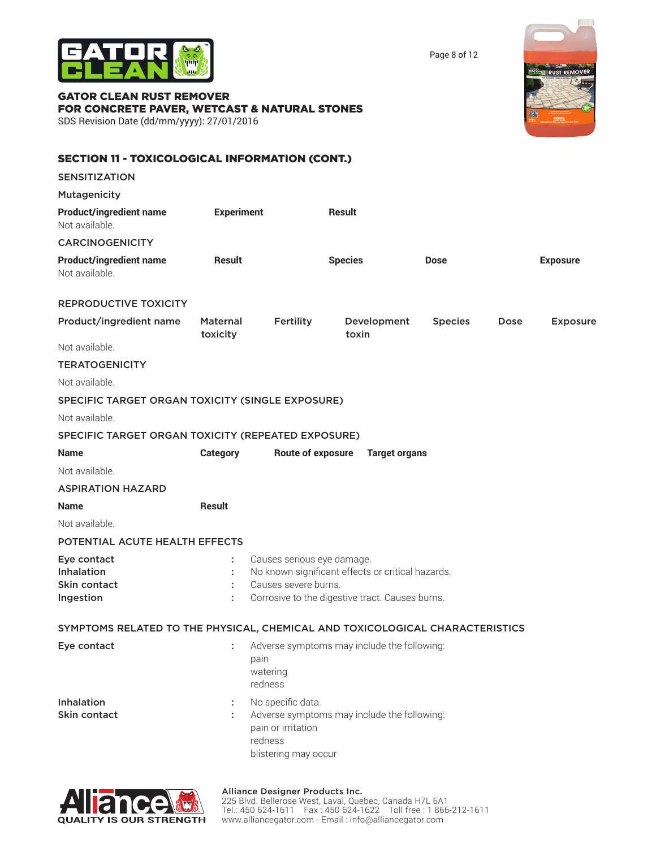

Page 8 of 12

**NERE RUST REMOVER** 

# GATOR CLEAN RUST REMOVER FOR CONCRETE PAVER, WETCAST & NATURAL STONES

SDS Revision Date (dd/mm/yyyy): 27/01/2016

| <b>SECTION 11 - TOXICOLOGICAL INFORMATION (CONT.)</b>                        |                             |                                                                            |                                                   |                |             |                 |
|------------------------------------------------------------------------------|-----------------------------|----------------------------------------------------------------------------|---------------------------------------------------|----------------|-------------|-----------------|
| <b>SENSITIZATION</b>                                                         |                             |                                                                            |                                                   |                |             |                 |
| Mutagenicity                                                                 |                             |                                                                            |                                                   |                |             |                 |
| <b>Product/ingredient name</b><br>Not available.                             | <b>Experiment</b>           |                                                                            | <b>Result</b>                                     |                |             |                 |
| <b>CARCINOGENICITY</b>                                                       |                             |                                                                            |                                                   |                |             |                 |
| <b>Product/ingredient name</b><br>Not available.                             | <b>Result</b>               |                                                                            | <b>Species</b>                                    | <b>Dose</b>    |             | <b>Exposure</b> |
| <b>REPRODUCTIVE TOXICITY</b>                                                 |                             |                                                                            |                                                   |                |             |                 |
| Product/ingredient name                                                      | <b>Maternal</b><br>toxicity | Fertility                                                                  | Development<br>toxin                              | <b>Species</b> | <b>Dose</b> | <b>Exposure</b> |
| Not available.                                                               |                             |                                                                            |                                                   |                |             |                 |
| <b>TERATOGENICITY</b>                                                        |                             |                                                                            |                                                   |                |             |                 |
| Not available.                                                               |                             |                                                                            |                                                   |                |             |                 |
| SPECIFIC TARGET ORGAN TOXICITY (SINGLE EXPOSURE)                             |                             |                                                                            |                                                   |                |             |                 |
| Not available.                                                               |                             |                                                                            |                                                   |                |             |                 |
| SPECIFIC TARGET ORGAN TOXICITY (REPEATED EXPOSURE)                           |                             |                                                                            |                                                   |                |             |                 |
| <b>Name</b>                                                                  | <b>Category</b>             | <b>Route of exposure</b>                                                   | <b>Target organs</b>                              |                |             |                 |
| Not available.                                                               |                             |                                                                            |                                                   |                |             |                 |
| <b>ASPIRATION HAZARD</b>                                                     |                             |                                                                            |                                                   |                |             |                 |
| <b>Name</b>                                                                  | <b>Result</b>               |                                                                            |                                                   |                |             |                 |
| Not available.                                                               |                             |                                                                            |                                                   |                |             |                 |
| POTENTIAL ACUTE HEALTH EFFECTS                                               |                             |                                                                            |                                                   |                |             |                 |
| Eye contact                                                                  |                             | Causes serious eye damage.                                                 |                                                   |                |             |                 |
| <b>Inhalation</b>                                                            |                             |                                                                            | No known significant effects or critical hazards. |                |             |                 |
| Skin contact<br>Ingestion                                                    | ÷                           | Causes severe burns.                                                       | Corrosive to the digestive tract. Causes burns.   |                |             |                 |
|                                                                              |                             |                                                                            |                                                   |                |             |                 |
| SYMPTOMS RELATED TO THE PHYSICAL, CHEMICAL AND TOXICOLOGICAL CHARACTERISTICS |                             |                                                                            |                                                   |                |             |                 |
| Eye contact                                                                  | ÷.                          | pain<br>watering<br>redness                                                | Adverse symptoms may include the following:       |                |             |                 |
| Inhalation<br>Skin contact                                                   | ÷                           | No specific data.<br>pain or irritation<br>redness<br>blistering may occur | Adverse symptoms may include the following:       |                |             |                 |



### Alliance Designer Products Inc.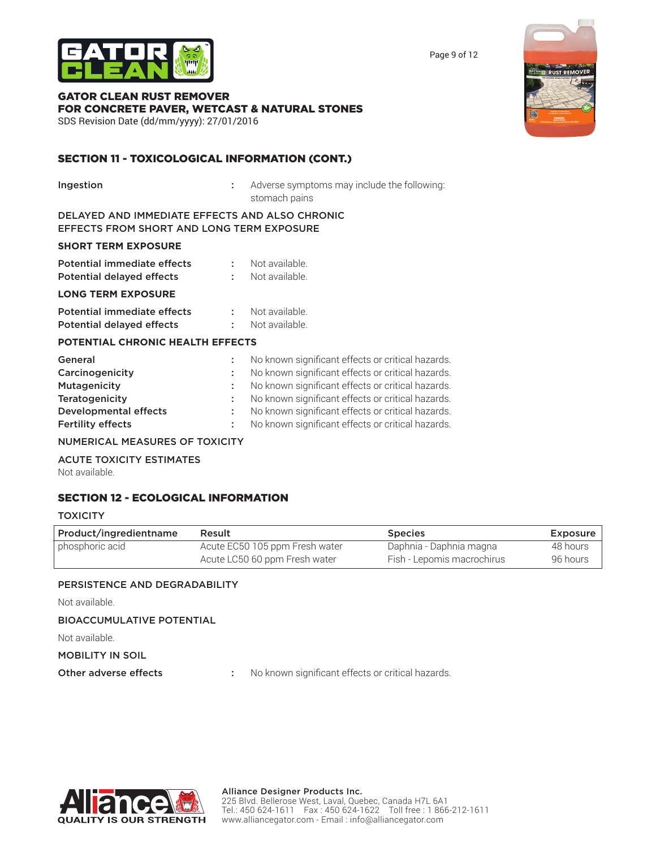

GATOR CLEAN RUST REMOVER FOR CONCRETE PAVER, WETCAST & NATURAL STONES

SDS Revision Date (dd/mm/yyyy): 27/01/2016

# SECTION 11 - TOXICOLOGICAL INFORMATION (CONT.)

**Ingestion** : Adverse symptoms may include the following: stomach pains

DELAYED AND IMMEDIATE EFFECTS AND ALSO CHRONIC EFFECTS FROM SHORT AND LONG TERM EXPOSURE

### **SHORT TERM EXPOSURE**

| Potential immediate effects | Not available. |
|-----------------------------|----------------|
| Potential delayed effects   | Not available. |

### **LONG TERM EXPOSURE**

| <b>Potential immediate effects</b> | Not available. |
|------------------------------------|----------------|
| <b>Potential delayed effects</b>   | Not available. |

### **POTENTIAL CHRONIC HEALTH EFFECTS**

| General                      | No known significant effects or critical hazards. |
|------------------------------|---------------------------------------------------|
| Carcinogenicity              | No known significant effects or critical hazards. |
| Mutagenicity                 | No known significant effects or critical hazards. |
| <b>Teratogenicity</b>        | No known significant effects or critical hazards. |
| <b>Developmental effects</b> | No known significant effects or critical hazards. |
| <b>Fertility effects</b>     | No known significant effects or critical hazards. |
|                              |                                                   |

### NUMERICAL MEASURES OF TOXICITY

ACUTE TOXICITY ESTIMATES

Not available.

# SECTION 12 - ECOLOGICAL INFORMATION

### **TOXICITY**

| Product/ingredientname | Result                         | <b>Species</b>             | Exposure |
|------------------------|--------------------------------|----------------------------|----------|
| phosphoric acid        | Acute EC50 105 ppm Fresh water | Daphnia - Daphnia magna    | 48 hours |
|                        | Acute LC50 60 ppm Fresh water  | Fish - Lepomis macrochirus | 96 hours |

### PERSISTENCE AND DEGRADABILITY

Not available.

# BIOACCUMULATIVE POTENTIAL

Not available.

# MOBILITY IN SOIL

Other adverse effects : No known significant effects or critical hazards.



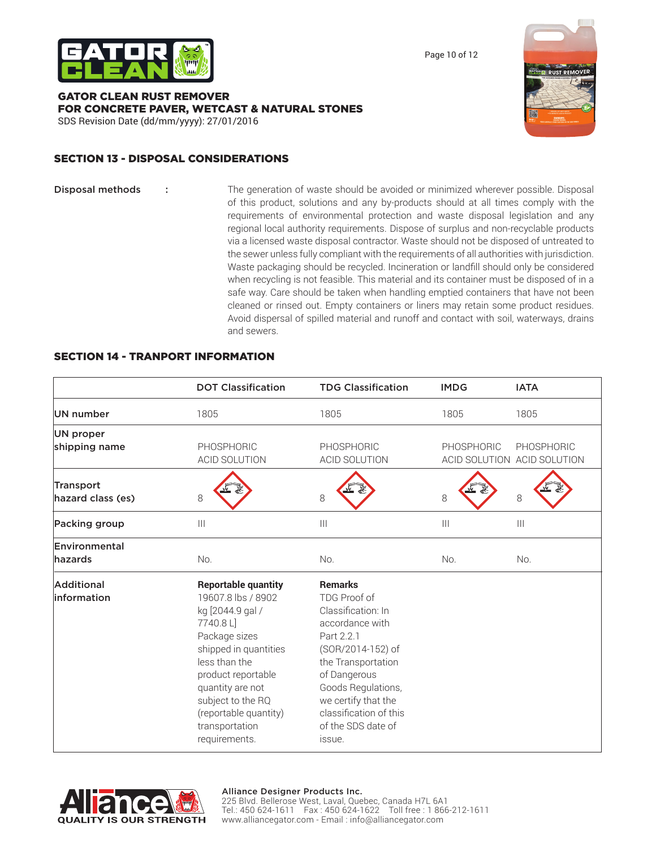

Page 10 of 12

### GATOR CLEAN RUST REMOVER FOR CONCRETE PAVER, WETCAST & NATURAL STONES SDS Revision Date (dd/mm/yyyy): 27/01/2016



# SECTION 13 - DISPOSAL CONSIDERATIONS

Disposal methods : The generation of waste should be avoided or minimized wherever possible. Disposal of this product, solutions and any by-products should at all times comply with the requirements of environmental protection and waste disposal legislation and any regional local authority requirements. Dispose of surplus and non-recyclable products via a licensed waste disposal contractor. Waste should not be disposed of untreated to the sewer unless fully compliant with the requirements of all authorities with jurisdiction. Waste packaging should be recycled. Incineration or landfill should only be considered when recycling is not feasible. This material and its container must be disposed of in a safe way. Care should be taken when handling emptied containers that have not been cleaned or rinsed out. Empty containers or liners may retain some product residues. Avoid dispersal of spilled material and runoff and contact with soil, waterways, drains and sewers.

|                                | <b>DOT Classification</b>                                                                                                                                                                                                                                             | <b>TDG Classification</b>                                                                                                                                                                                                                               | <b>IMDG</b>                           | <b>IATA</b>                               |
|--------------------------------|-----------------------------------------------------------------------------------------------------------------------------------------------------------------------------------------------------------------------------------------------------------------------|---------------------------------------------------------------------------------------------------------------------------------------------------------------------------------------------------------------------------------------------------------|---------------------------------------|-------------------------------------------|
| UN number                      | 1805                                                                                                                                                                                                                                                                  | 1805                                                                                                                                                                                                                                                    | 1805                                  | 1805                                      |
| UN proper                      |                                                                                                                                                                                                                                                                       |                                                                                                                                                                                                                                                         |                                       |                                           |
| shipping name                  | PHOSPHORIC<br><b>ACID SOLUTION</b>                                                                                                                                                                                                                                    | PHOSPHORIC<br><b>ACID SOLUTION</b>                                                                                                                                                                                                                      | PHOSPHORIC                            | PHOSPHORIC<br>ACID SOLUTION ACID SOLUTION |
| Transport<br>hazard class (es) | 8                                                                                                                                                                                                                                                                     | 8                                                                                                                                                                                                                                                       | $\,8\,$                               | 8                                         |
| Packing group                  | $\mathbf{III}$                                                                                                                                                                                                                                                        | $\begin{array}{c} \hline \end{array}$                                                                                                                                                                                                                   | $\begin{array}{c} \hline \end{array}$ | $\mathbf{III}$                            |
| Environmental<br>hazards       | No.                                                                                                                                                                                                                                                                   | No.                                                                                                                                                                                                                                                     | No.                                   | No.                                       |
| Additional<br>linformation     | <b>Reportable quantity</b><br>19607.8 lbs / 8902<br>kg [2044.9 gal /<br>7740.8L<br>Package sizes<br>shipped in quantities<br>less than the<br>product reportable<br>quantity are not<br>subject to the RQ<br>(reportable quantity)<br>transportation<br>requirements. | <b>Remarks</b><br>TDG Proof of<br>Classification: In<br>accordance with<br>Part 2.2.1<br>(SOR/2014-152) of<br>the Transportation<br>of Dangerous<br>Goods Regulations,<br>we certify that the<br>classification of this<br>of the SDS date of<br>issue. |                                       |                                           |

# SECTION 14 - TRANPORT INFORMATION



### Alliance Designer Products Inc.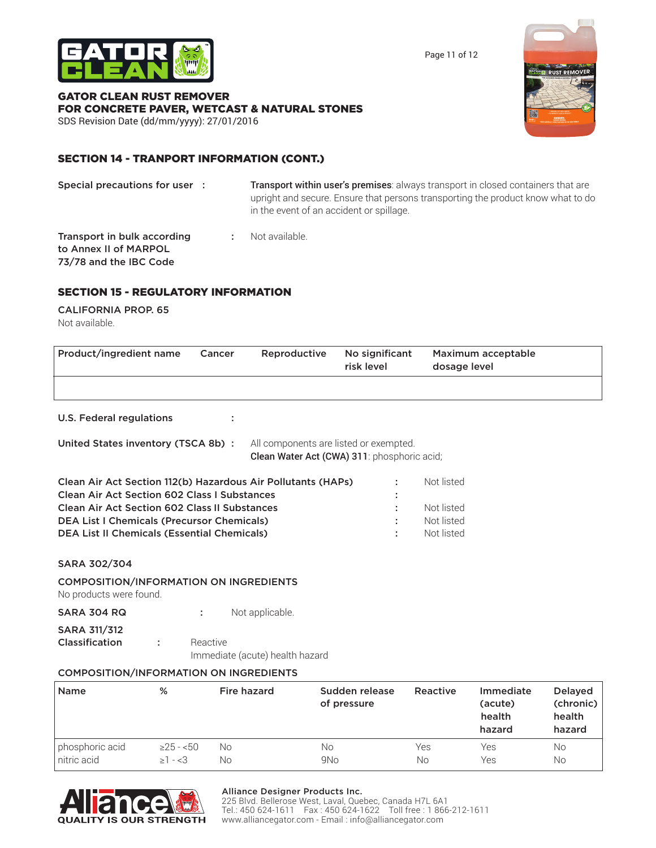

Page 11 of 12

# GATOR CLEAN RUST REMOVER FOR CONCRETE PAVER, WETCAST & NATURAL STONES

SDS Revision Date (dd/mm/yyyy): 27/01/2016

# SECTION 14 - TRANPORT INFORMATION (CONT.)

Special precautions for user : Transport within user's premises: always transport in closed containers that are upright and secure. Ensure that persons transporting the product know what to do in the event of an accident or spillage. **Transport in bulk according : Not available.** 

to Annex II of MARPOL 73/78 and the IBC Code

# SECTION 15 - REGULATORY INFORMATION

### CALIFORNIA PROP. 65 Not available.

| Product/ingredient name | Cancer | Reproductive | No significant<br>risk level | Maximum acceptable<br>dosage level |
|-------------------------|--------|--------------|------------------------------|------------------------------------|
|                         |        |              |                              |                                    |
|                         |        |              |                              |                                    |

U.S. Federal regulations :

United States inventory (TSCA 8b) : All components are listed or exempted.

Clean Water Act (CWA) 311: phosphoric acid;

| Clean Air Act Section 112(b) Hazardous Air Pollutants (HAPs) | Not listed |
|--------------------------------------------------------------|------------|
| <b>Clean Air Act Section 602 Class I Substances</b>          |            |
| <b>Clean Air Act Section 602 Class II Substances</b>         | Not listed |
| <b>DEA List I Chemicals (Precursor Chemicals)</b>            | Not listed |
| <b>DEA List II Chemicals (Essential Chemicals)</b>           | Not listed |
|                                                              |            |

SARA 302/304

### COMPOSITION/INFORMATION ON INGREDIENTS

No products were found.

SARA 304 RQ : Not applicable.

SARA 311/312 **Classification :** Reactive

Immediate (acute) health hazard

# COMPOSITION/INFORMATION ON INGREDIENTS

| <b>Name</b>     | %               | Fire hazard | Sudden release<br>of pressure | Reactive | Immediate<br>(acute)<br>health<br>hazard | Delayed<br>(chronic)<br>health<br>hazard |
|-----------------|-----------------|-------------|-------------------------------|----------|------------------------------------------|------------------------------------------|
| phosphoric acid | $\geq$ 25 - <50 | No          | No                            | Yes      | Yes                                      | No                                       |
| nitric acid     | $>1 - 3$        | Νo          | 9N <sub>o</sub>               | No       | Yes                                      | No                                       |



### Alliance Designer Products Inc.